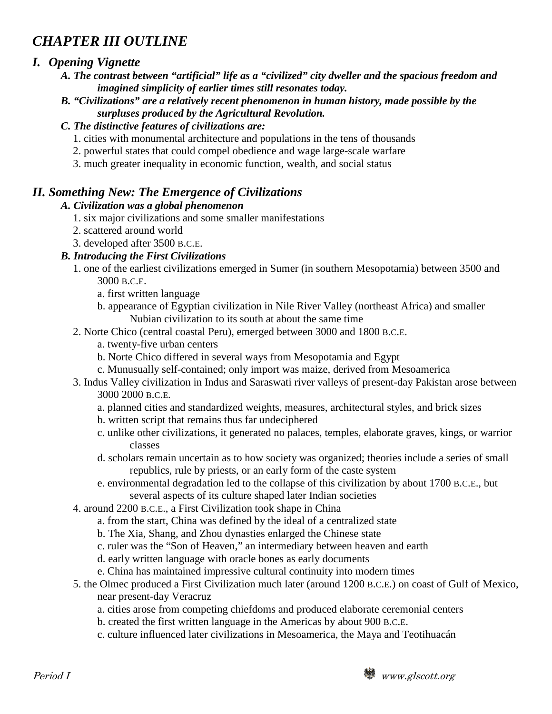# *CHAPTER III OUTLINE*

# *I. Opening Vignette*

- *A. The contrast between "artificial" life as a "civilized" city dweller and the spacious freedom and imagined simplicity of earlier times still resonates today.*
- *B. "Civilizations" are a relatively recent phenomenon in human history, made possible by the surpluses produced by the Agricultural Revolution.*

### *C. The distinctive features of civilizations are:*

- 1. cities with monumental architecture and populations in the tens of thousands
- 2. powerful states that could compel obedience and wage large-scale warfare
- 3. much greater inequality in economic function, wealth, and social status

# *II. Something New: The Emergence of Civilizations*

### *A. Civilization was a global phenomenon*

- 1. six major civilizations and some smaller manifestations
- 2. scattered around world
- 3. developed after 3500 B.C.E.

### *B. Introducing the First Civilizations*

- 1. one of the earliest civilizations emerged in Sumer (in southern Mesopotamia) between 3500 and 3000 B.C.E.
	- a. first written language
	- b. appearance of Egyptian civilization in Nile River Valley (northeast Africa) and smaller Nubian civilization to its south at about the same time
- 2. Norte Chico (central coastal Peru), emerged between 3000 and 1800 B.C.E.
	- a. twenty-five urban centers
	- b. Norte Chico differed in several ways from Mesopotamia and Egypt
	- c. Munusually self-contained; only import was maize, derived from Mesoamerica
- 3. Indus Valley civilization in Indus and Saraswati river valleys of present-day Pakistan arose between 3000 2000 B.C.E.
	- a. planned cities and standardized weights, measures, architectural styles, and brick sizes
	- b. written script that remains thus far undeciphered
	- c. unlike other civilizations, it generated no palaces, temples, elaborate graves, kings, or warrior classes
	- d. scholars remain uncertain as to how society was organized; theories include a series of small republics, rule by priests, or an early form of the caste system
	- e. environmental degradation led to the collapse of this civilization by about 1700 B.C.E., but several aspects of its culture shaped later Indian societies
- 4. around 2200 B.C.E., a First Civilization took shape in China
	- a. from the start, China was defined by the ideal of a centralized state
	- b. The Xia, Shang, and Zhou dynasties enlarged the Chinese state
	- c. ruler was the "Son of Heaven," an intermediary between heaven and earth
	- d. early written language with oracle bones as early documents
	- e. China has maintained impressive cultural continuity into modern times
- 5. the Olmec produced a First Civilization much later (around 1200 B.C.E.) on coast of Gulf of Mexico, near present-day Veracruz
	- a. cities arose from competing chiefdoms and produced elaborate ceremonial centers
	- b. created the first written language in the Americas by about 900 B.C.E.
	- c. culture influenced later civilizations in Mesoamerica, the Maya and Teotihuacán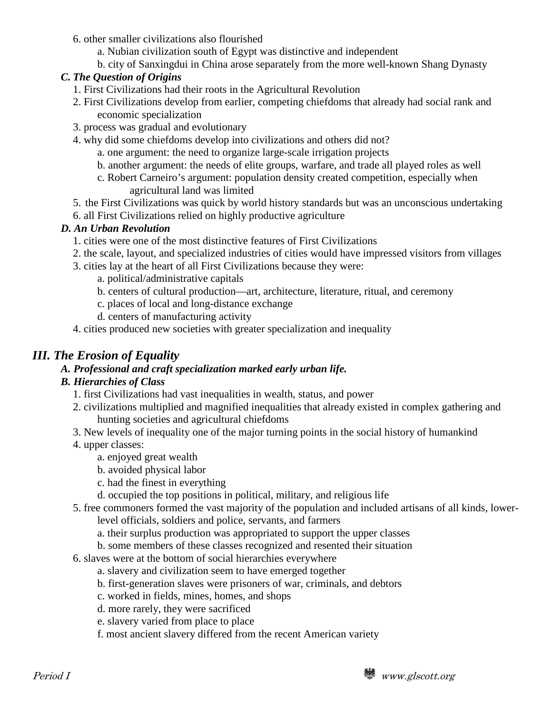- 6. other smaller civilizations also flourished
	- a. Nubian civilization south of Egypt was distinctive and independent
	- b. city of Sanxingdui in China arose separately from the more well-known Shang Dynasty

#### *C. The Question of Origins*

- 1. First Civilizations had their roots in the Agricultural Revolution
- 2. First Civilizations develop from earlier, competing chiefdoms that already had social rank and economic specialization
- 3. process was gradual and evolutionary
- 4. why did some chiefdoms develop into civilizations and others did not?
	- a. one argument: the need to organize large-scale irrigation projects
	- b. another argument: the needs of elite groups, warfare, and trade all played roles as well
	- c. Robert Carneiro's argument: population density created competition, especially when agricultural land was limited
- 5. the First Civilizations was quick by world history standards but was an unconscious undertaking
- 6. all First Civilizations relied on highly productive agriculture

#### *D. An Urban Revolution*

- 1. cities were one of the most distinctive features of First Civilizations
- 2. the scale, layout, and specialized industries of cities would have impressed visitors from villages
- 3. cities lay at the heart of all First Civilizations because they were:
	- a. political/administrative capitals
		- b. centers of cultural production—art, architecture, literature, ritual, and ceremony
		- c. places of local and long-distance exchange
		- d. centers of manufacturing activity
- 4. cities produced new societies with greater specialization and inequality

### *III. The Erosion of Equality*

# *A. Professional and craft specialization marked early urban life.*

### *B. Hierarchies of Class*

- 1. first Civilizations had vast inequalities in wealth, status, and power
- 2. civilizations multiplied and magnified inequalities that already existed in complex gathering and hunting societies and agricultural chiefdoms
- 3. New levels of inequality one of the major turning points in the social history of humankind
- 4. upper classes:
	- a. enjoyed great wealth
	- b. avoided physical labor
	- c. had the finest in everything
	- d. occupied the top positions in political, military, and religious life
- 5. free commoners formed the vast majority of the population and included artisans of all kinds, lower
	- level officials, soldiers and police, servants, and farmers
	- a. their surplus production was appropriated to support the upper classes
	- b. some members of these classes recognized and resented their situation
- 6. slaves were at the bottom of social hierarchies everywhere
	- a. slavery and civilization seem to have emerged together
	- b. first-generation slaves were prisoners of war, criminals, and debtors
	- c. worked in fields, mines, homes, and shops
	- d. more rarely, they were sacrificed
	- e. slavery varied from place to place
	- f. most ancient slavery differed from the recent American variety

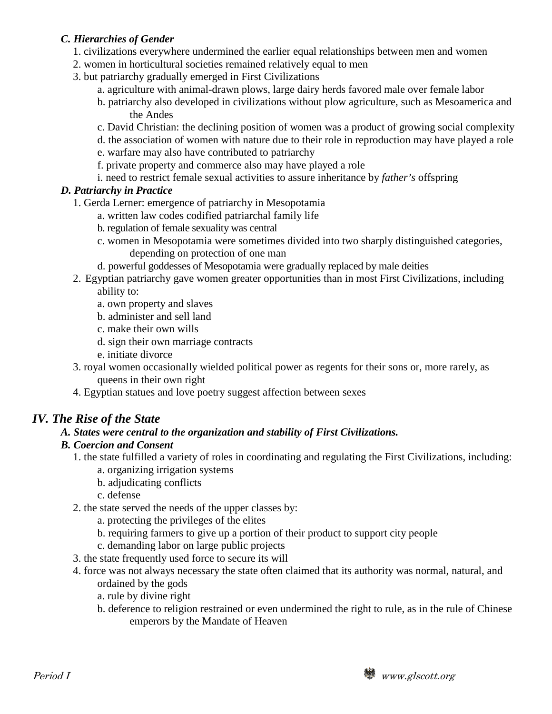#### *C. Hierarchies of Gender*

- 1. civilizations everywhere undermined the earlier equal relationships between men and women
- 2. women in horticultural societies remained relatively equal to men
- 3. but patriarchy gradually emerged in First Civilizations
	- a. agriculture with animal-drawn plows, large dairy herds favored male over female labor
	- b. patriarchy also developed in civilizations without plow agriculture, such as Mesoamerica and the Andes
	- c. David Christian: the declining position of women was a product of growing social complexity
	- d. the association of women with nature due to their role in reproduction may have played a role
	- e. warfare may also have contributed to patriarchy
	- f. private property and commerce also may have played a role
	- i. need to restrict female sexual activities to assure inheritance by *father's* offspring

#### *D. Patriarchy in Practice*

- 1. Gerda Lerner: emergence of patriarchy in Mesopotamia
	- a. written law codes codified patriarchal family life
	- b. regulation of female sexuality was central
	- c. women in Mesopotamia were sometimes divided into two sharply distinguished categories, depending on protection of one man
	- d. powerful goddesses of Mesopotamia were gradually replaced by male deities
- 2. Egyptian patriarchy gave women greater opportunities than in most First Civilizations, including ability to:
	- a. own property and slaves
	- b. administer and sell land
	- c. make their own wills
	- d. sign their own marriage contracts
	- e. initiate divorce
- 3. royal women occasionally wielded political power as regents for their sons or, more rarely, as queens in their own right
- 4. Egyptian statues and love poetry suggest affection between sexes

### *IV. The Rise of the State*

#### *A. States were central to the organization and stability of First Civilizations.*

#### *B. Coercion and Consent*

- 1. the state fulfilled a variety of roles in coordinating and regulating the First Civilizations, including:
	- a. organizing irrigation systems
	- b. adjudicating conflicts
	- c. defense
- 2. the state served the needs of the upper classes by:
	- a. protecting the privileges of the elites
	- b. requiring farmers to give up a portion of their product to support city people
	- c. demanding labor on large public projects
- 3. the state frequently used force to secure its will
- 4. force was not always necessary the state often claimed that its authority was normal, natural, and ordained by the gods
	- a. rule by divine right
	- b. deference to religion restrained or even undermined the right to rule, as in the rule of Chinese emperors by the Mandate of Heaven

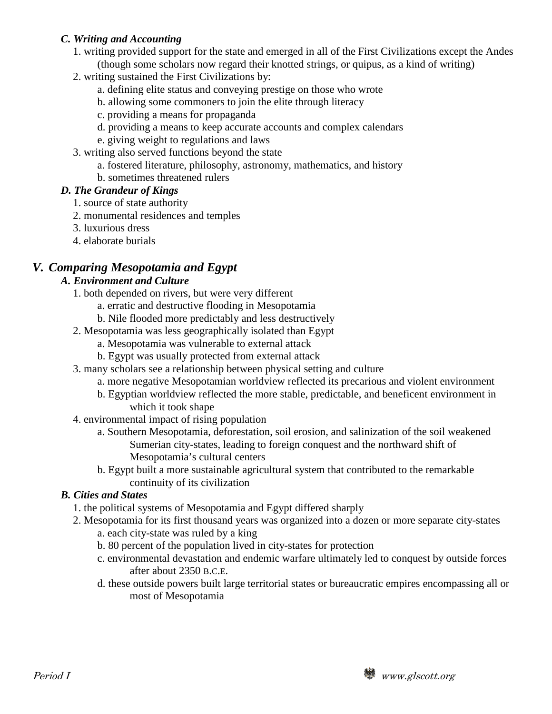#### *C. Writing and Accounting*

- 1. writing provided support for the state and emerged in all of the First Civilizations except the Andes (though some scholars now regard their knotted strings, or quipus, as a kind of writing)
- 2. writing sustained the First Civilizations by:
	- a. defining elite status and conveying prestige on those who wrote
	- b. allowing some commoners to join the elite through literacy
	- c. providing a means for propaganda
	- d. providing a means to keep accurate accounts and complex calendars
	- e. giving weight to regulations and laws
- 3. writing also served functions beyond the state
	- a. fostered literature, philosophy, astronomy, mathematics, and history
	- b. sometimes threatened rulers

### *D. The Grandeur of Kings*

- 1. source of state authority
- 2. monumental residences and temples
- 3. luxurious dress
- 4. elaborate burials

# *V. Comparing Mesopotamia and Egypt*

### *A. Environment and Culture*

- 1. both depended on rivers, but were very different
	- a. erratic and destructive flooding in Mesopotamia
	- b. Nile flooded more predictably and less destructively
- 2. Mesopotamia was less geographically isolated than Egypt
	- a. Mesopotamia was vulnerable to external attack
	- b. Egypt was usually protected from external attack
- 3. many scholars see a relationship between physical setting and culture
	- a. more negative Mesopotamian worldview reflected its precarious and violent environment
	- b. Egyptian worldview reflected the more stable, predictable, and beneficent environment in which it took shape
- 4. environmental impact of rising population
	- a. Southern Mesopotamia, deforestation, soil erosion, and salinization of the soil weakened Sumerian city-states, leading to foreign conquest and the northward shift of Mesopotamia's cultural centers
	- b. Egypt built a more sustainable agricultural system that contributed to the remarkable continuity of its civilization

#### *B. Cities and States*

- 1. the political systems of Mesopotamia and Egypt differed sharply
- 2. Mesopotamia for its first thousand years was organized into a dozen or more separate city-states
	- a. each city-state was ruled by a king
	- b. 80 percent of the population lived in city-states for protection
	- c. environmental devastation and endemic warfare ultimately led to conquest by outside forces after about 2350 B.C.E.
	- d. these outside powers built large territorial states or bureaucratic empires encompassing all or most of Mesopotamia

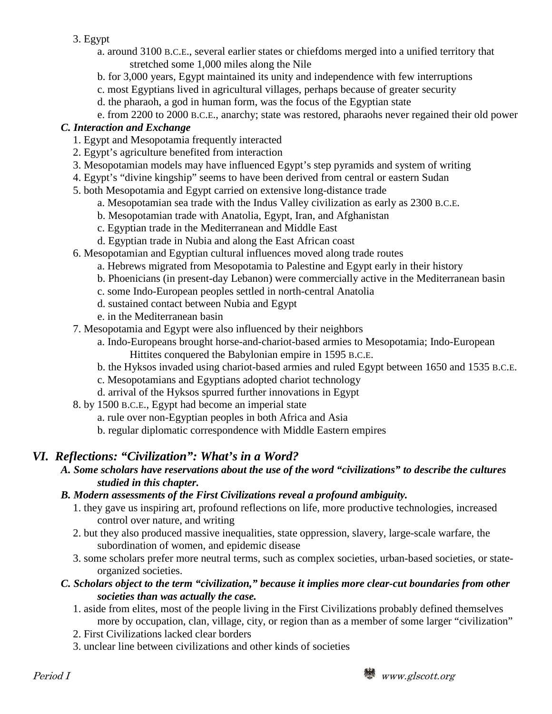#### 3. Egypt

- a. around 3100 B.C.E., several earlier states or chiefdoms merged into a unified territory that stretched some 1,000 miles along the Nile
- b. for 3,000 years, Egypt maintained its unity and independence with few interruptions
- c. most Egyptians lived in agricultural villages, perhaps because of greater security
- d. the pharaoh, a god in human form, was the focus of the Egyptian state
- e. from 2200 to 2000 B.C.E., anarchy; state was restored, pharaohs never regained their old power

### *C. Interaction and Exchange*

- 1. Egypt and Mesopotamia frequently interacted
- 2. Egypt's agriculture benefited from interaction
- 3. Mesopotamian models may have influenced Egypt's step pyramids and system of writing
- 4. Egypt's "divine kingship" seems to have been derived from central or eastern Sudan
- 5. both Mesopotamia and Egypt carried on extensive long-distance trade
	- a. Mesopotamian sea trade with the Indus Valley civilization as early as 2300 B.C.E.
	- b. Mesopotamian trade with Anatolia, Egypt, Iran, and Afghanistan
	- c. Egyptian trade in the Mediterranean and Middle East
	- d. Egyptian trade in Nubia and along the East African coast
- 6. Mesopotamian and Egyptian cultural influences moved along trade routes
	- a. Hebrews migrated from Mesopotamia to Palestine and Egypt early in their history
	- b. Phoenicians (in present-day Lebanon) were commercially active in the Mediterranean basin
	- c. some Indo-European peoples settled in north-central Anatolia
	- d. sustained contact between Nubia and Egypt
	- e. in the Mediterranean basin
- 7. Mesopotamia and Egypt were also influenced by their neighbors
	- a. Indo-Europeans brought horse-and-chariot-based armies to Mesopotamia; Indo-European Hittites conquered the Babylonian empire in 1595 B.C.E.
	- b. the Hyksos invaded using chariot-based armies and ruled Egypt between 1650 and 1535 B.C.E.
	- c. Mesopotamians and Egyptians adopted chariot technology
	- d. arrival of the Hyksos spurred further innovations in Egypt
- 8. by 1500 B.C.E., Egypt had become an imperial state
	- a. rule over non-Egyptian peoples in both Africa and Asia
	- b. regular diplomatic correspondence with Middle Eastern empires

# *VI. Reflections: "Civilization": What's in a Word?*

*A. Some scholars have reservations about the use of the word "civilizations" to describe the cultures studied in this chapter.*

### *B. Modern assessments of the First Civilizations reveal a profound ambiguity.*

- 1. they gave us inspiring art, profound reflections on life, more productive technologies, increased control over nature, and writing
- 2. but they also produced massive inequalities, state oppression, slavery, large-scale warfare, the subordination of women, and epidemic disease
- 3. some scholars prefer more neutral terms, such as complex societies, urban-based societies, or stateorganized societies.

### *C. Scholars object to the term "civilization," because it implies more clear-cut boundaries from other societies than was actually the case.*

- 1. aside from elites, most of the people living in the First Civilizations probably defined themselves more by occupation, clan, village, city, or region than as a member of some larger "civilization"
- 2. First Civilizations lacked clear borders
- 3. unclear line between civilizations and other kinds of societies